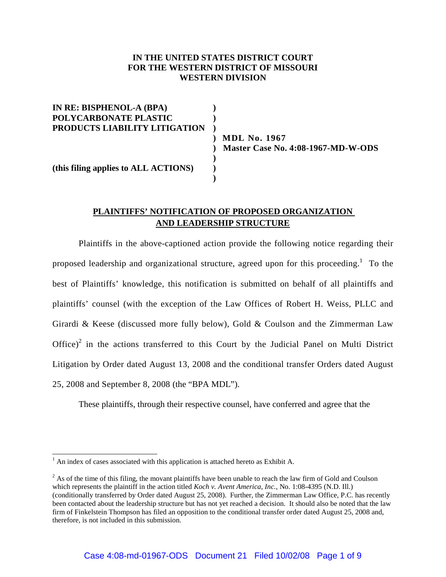## **IN THE UNITED STATES DISTRICT COURT FOR THE WESTERN DISTRICT OF MISSOURI WESTERN DIVISION**

**IN RE: BISPHENOL-A (BPA) ) POLYCARBONATE PLASTIC ) PRODUCTS LIABILITY LITIGATION )**

**) MDL No. 1967 ) Master Case No. 4:08-1967-MD-W-ODS**

**(this filing applies to ALL ACTIONS) )**

# **PLAINTIFFS' NOTIFICATION OF PROPOSED ORGANIZATION AND LEADERSHIP STRUCTURE**

**)**

**)**

Plaintiffs in the above-captioned action provide the following notice regarding their proposed leadership and organizational structure, agreed upon for this proceeding.<sup>1</sup> To the best of Plaintiffs' knowledge, this notification is submitted on behalf of all plaintiffs and plaintiffs' counsel (with the exception of the Law Offices of Robert H. Weiss, PLLC and Girardi & Keese (discussed more fully below), Gold & Coulson and the Zimmerman Law Office) $2$  in the actions transferred to this Court by the Judicial Panel on Multi District Litigation by Order dated August 13, 2008 and the conditional transfer Orders dated August 25, 2008 and September 8, 2008 (the "BPA MDL").

These plaintiffs, through their respective counsel, have conferred and agree that the

 $<sup>1</sup>$  An index of cases associated with this application is attached hereto as Exhibit A.</sup>

 $2^2$  As of the time of this filing, the movant plaintiffs have been unable to reach the law firm of Gold and Coulson which represents the plaintiff in the action titled *Koch v. Avent America, Inc.*, No. 1:08-4395 (N.D. Ill.) (conditionally transferred by Order dated August 25, 2008). Further, the Zimmerman Law Office, P.C. has recently been contacted about the leadership structure but has not yet reached a decision. It should also be noted that the law firm of Finkelstein Thompson has filed an opposition to the conditional transfer order dated August 25, 2008 and, therefore, is not included in this submission.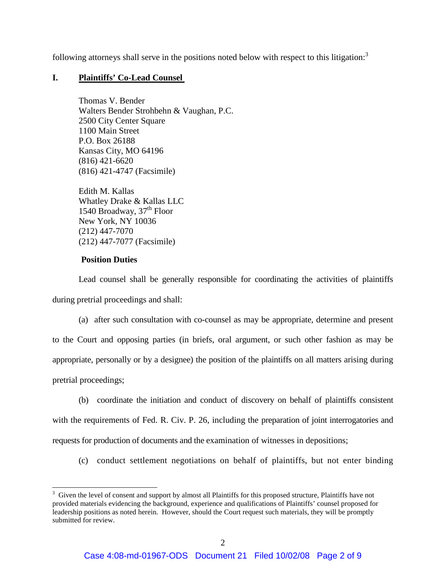following attorneys shall serve in the positions noted below with respect to this litigation:<sup>3</sup>

### **I. Plaintiffs' Co-Lead Counsel**

Thomas V. Bender Walters Bender Strohbehn & Vaughan, P.C. 2500 City Center Square 1100 Main Street P.O. Box 26188 Kansas City, MO 64196 (816) 421-6620 (816) 421-4747 (Facsimile)

Edith M. Kallas Whatley Drake & Kallas LLC 1540 Broadway,  $37<sup>th</sup>$  Floor New York, NY 10036 (212) 447-7070 (212) 447-7077 (Facsimile)

#### **Position Duties**

Lead counsel shall be generally responsible for coordinating the activities of plaintiffs during pretrial proceedings and shall:

(a) after such consultation with co-counsel as may be appropriate, determine and present to the Court and opposing parties (in briefs, oral argument, or such other fashion as may be appropriate, personally or by a designee) the position of the plaintiffs on all matters arising during pretrial proceedings;

(b) coordinate the initiation and conduct of discovery on behalf of plaintiffs consistent with the requirements of Fed. R. Civ. P. 26, including the preparation of joint interrogatories and requests for production of documents and the examination of witnesses in depositions;

(c) conduct settlement negotiations on behalf of plaintiffs, but not enter binding

<sup>&</sup>lt;sup>3</sup> Given the level of consent and support by almost all Plaintiffs for this proposed structure, Plaintiffs have not provided materials evidencing the background, experience and qualifications of Plaintiffs' counsel proposed for leadership positions as noted herein. However, should the Court request such materials, they will be promptly submitted for review.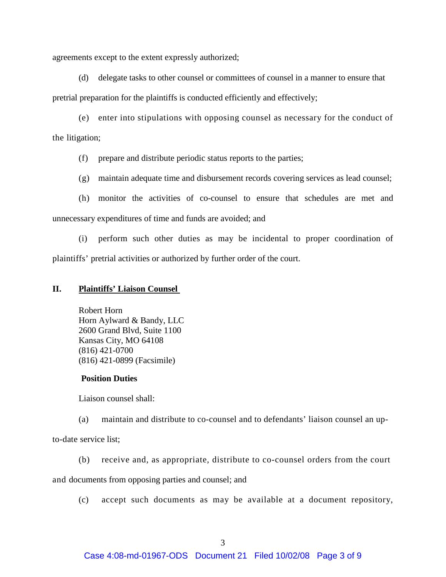agreements except to the extent expressly authorized;

(d) delegate tasks to other counsel or committees of counsel in a manner to ensure that pretrial preparation for the plaintiffs is conducted efficiently and effectively;

(e) enter into stipulations with opposing counsel as necessary for the conduct of the litigation;

(f) prepare and distribute periodic status reports to the parties;

(g) maintain adequate time and disbursement records covering services as lead counsel;

(h) monitor the activities of co-counsel to ensure that schedules are met and unnecessary expenditures of time and funds are avoided; and

(i) perform such other duties as may be incidental to proper coordination of plaintiffs' pretrial activities or authorized by further order of the court.

### **II. Plaintiffs' Liaison Counsel**

Robert Horn Horn Aylward & Bandy, LLC 2600 Grand Blvd, Suite 1100 Kansas City, MO 64108 (816) 421-0700 (816) 421-0899 (Facsimile)

## **Position Duties**

Liaison counsel shall:

(a) maintain and distribute to co-counsel and to defendants' liaison counsel an up-

to-date service list;

(b) receive and, as appropriate, distribute to co-counsel orders from the court

and documents from opposing parties and counsel; and

(c) accept such documents as may be available at a document repository,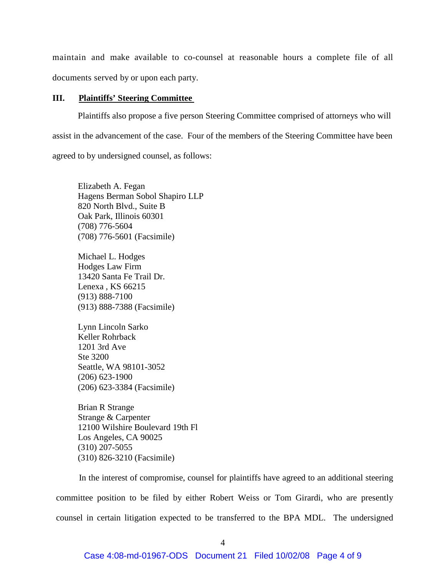maintain and make available to co-counsel at reasonable hours a complete file of all documents served by or upon each party.

#### **III. Plaintiffs' Steering Committee**

Plaintiffs also propose a five person Steering Committee comprised of attorneys who will assist in the advancement of the case. Four of the members of the Steering Committee have been agreed to by undersigned counsel, as follows:

Elizabeth A. Fegan Hagens Berman Sobol Shapiro LLP 820 North Blvd., Suite B Oak Park, Illinois 60301 (708) 776-5604 (708) 776-5601 (Facsimile)

Michael L. Hodges Hodges Law Firm 13420 Santa Fe Trail Dr. Lenexa , KS 66215 (913) 888-7100 (913) 888-7388 (Facsimile)

Lynn Lincoln Sarko Keller Rohrback 1201 3rd Ave Ste 3200 Seattle, WA 98101-3052 (206) 623-1900 (206) 623-3384 (Facsimile)

Brian R Strange Strange & Carpenter 12100 Wilshire Boulevard 19th Fl Los Angeles, CA 90025 (310) 207-5055 (310) 826-3210 (Facsimile)

In the interest of compromise, counsel for plaintiffs have agreed to an additional steering committee position to be filed by either Robert Weiss or Tom Girardi, who are presently counsel in certain litigation expected to be transferred to the BPA MDL. The undersigned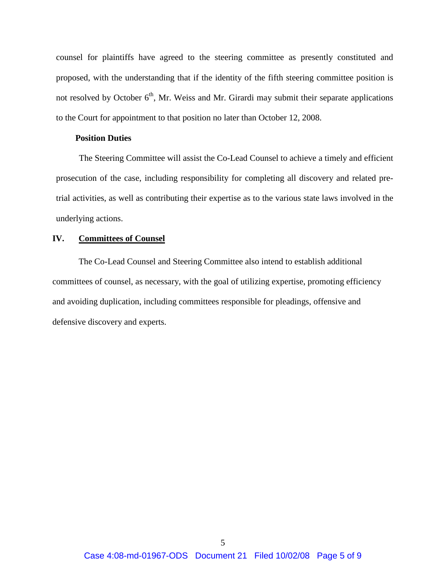counsel for plaintiffs have agreed to the steering committee as presently constituted and proposed, with the understanding that if the identity of the fifth steering committee position is not resolved by October 6<sup>th</sup>, Mr. Weiss and Mr. Girardi may submit their separate applications to the Court for appointment to that position no later than October 12, 2008.

## **Position Duties**

The Steering Committee will assist the Co-Lead Counsel to achieve a timely and efficient prosecution of the case, including responsibility for completing all discovery and related pretrial activities, as well as contributing their expertise as to the various state laws involved in the underlying actions.

#### **IV. Committees of Counsel**

The Co-Lead Counsel and Steering Committee also intend to establish additional committees of counsel, as necessary, with the goal of utilizing expertise, promoting efficiency and avoiding duplication, including committees responsible for pleadings, offensive and defensive discovery and experts.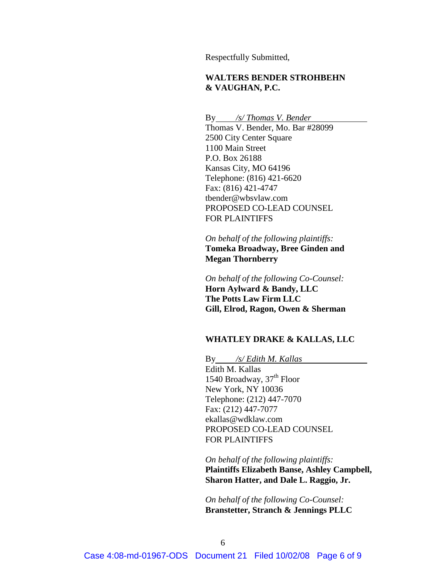Respectfully Submitted,

## **WALTERS BENDER STROHBEHN & VAUGHAN, P.C.**

By */s/ Thomas V. Bender*

Thomas V. Bender, Mo. Bar #28099 2500 City Center Square 1100 Main Street P.O. Box 26188 Kansas City, MO 64196 Telephone: (816) 421-6620 Fax: (816) 421-4747 tbender@wbsvlaw.com PROPOSED CO-LEAD COUNSEL FOR PLAINTIFFS

*On behalf of the following plaintiffs:* **Tomeka Broadway, Bree Ginden and Megan Thornberry**

*On behalf of the following Co-Counsel:* **Horn Aylward & Bandy, LLC The Potts Law Firm LLC Gill, Elrod, Ragon, Owen & Sherman**

#### **WHATLEY DRAKE & KALLAS, LLC**

By */s/ Edith M. Kallas* Edith M. Kallas 1540 Broadway, 37<sup>th</sup> Floor New York, NY 10036 Telephone: (212) 447-7070 Fax: (212) 447-7077 ekallas@wdklaw.com PROPOSED CO-LEAD COUNSEL FOR PLAINTIFFS

*On behalf of the following plaintiffs:* **Plaintiffs Elizabeth Banse, Ashley Campbell, Sharon Hatter, and Dale L. Raggio, Jr.**

*On behalf of the following Co-Counsel:* **Branstetter, Stranch & Jennings PLLC**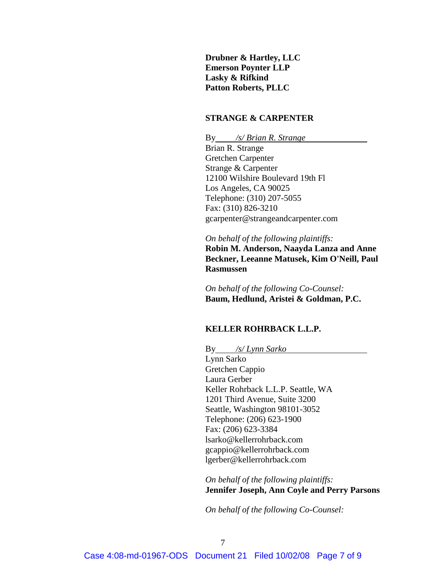**Drubner & Hartley, LLC Emerson Poynter LLP Lasky & Rifkind Patton Roberts, PLLC**

### **STRANGE & CARPENTER**

By */s/ Brian R. Strange* Brian R. Strange Gretchen Carpenter Strange & Carpenter 12100 Wilshire Boulevard 19th Fl Los Angeles, CA 90025 Telephone: (310) 207-5055 Fax: (310) 826-3210 gcarpenter@strangeandcarpenter.com

*On behalf of the following plaintiffs:* **Robin M. Anderson, Naayda Lanza and Anne Beckner, Leeanne Matusek, Kim O'Neill, Paul Rasmussen**

*On behalf of the following Co-Counsel:* **Baum, Hedlund, Aristei & Goldman, P.C.**

#### **KELLER ROHRBACK L.L.P.**

By */s/ Lynn Sarko* Lynn Sarko Gretchen Cappio Laura Gerber Keller Rohrback L.L.P. Seattle, WA 1201 Third Avenue, Suite 3200 Seattle, Washington 98101-3052 Telephone: (206) 623-1900 Fax: (206) 623-3384 lsarko@kellerrohrback.com gcappio@kellerrohrback.com lgerber@kellerrohrback.com

*On behalf of the following plaintiffs:* **Jennifer Joseph, Ann Coyle and Perry Parsons**

*On behalf of the following Co-Counsel:*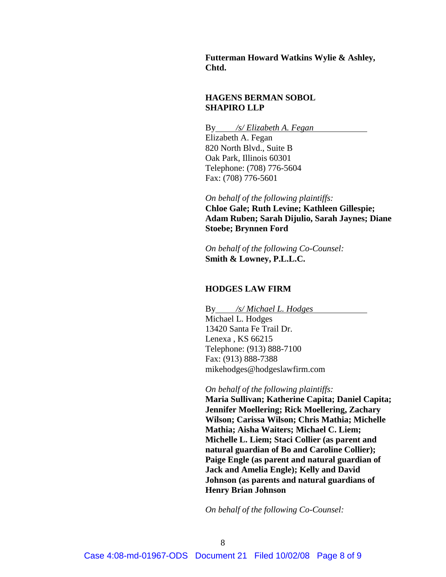**Futterman Howard Watkins Wylie & Ashley, Chtd.**

## **HAGENS BERMAN SOBOL SHAPIRO LLP**

By */s/ Elizabeth A. Fegan* Elizabeth A. Fegan 820 North Blvd., Suite B Oak Park, Illinois 60301 Telephone: (708) 776-5604 Fax: (708) 776-5601

*On behalf of the following plaintiffs:* **Chloe Gale; Ruth Levine; Kathleen Gillespie; Adam Ruben; Sarah Dijulio, Sarah Jaynes; Diane Stoebe; Brynnen Ford**

*On behalf of the following Co-Counsel:* **Smith & Lowney, P.L.L.C.**

## **HODGES LAW FIRM**

By */s/ Michael L. Hodges* Michael L. Hodges 13420 Santa Fe Trail Dr. Lenexa , KS 66215 Telephone: (913) 888-7100 Fax: (913) 888-7388 mikehodges@hodgeslawfirm.com

#### *On behalf of the following plaintiffs:*

**Maria Sullivan; Katherine Capita; Daniel Capita; Jennifer Moellering; Rick Moellering, Zachary Wilson; Carissa Wilson; Chris Mathia; Michelle Mathia; Aisha Waiters; Michael C. Liem; Michelle L. Liem; Staci Collier (as parent and natural guardian of Bo and Caroline Collier); Paige Engle (as parent and natural guardian of Jack and Amelia Engle); Kelly and David Johnson (as parents and natural guardians of Henry Brian Johnson**

*On behalf of the following Co-Counsel:*